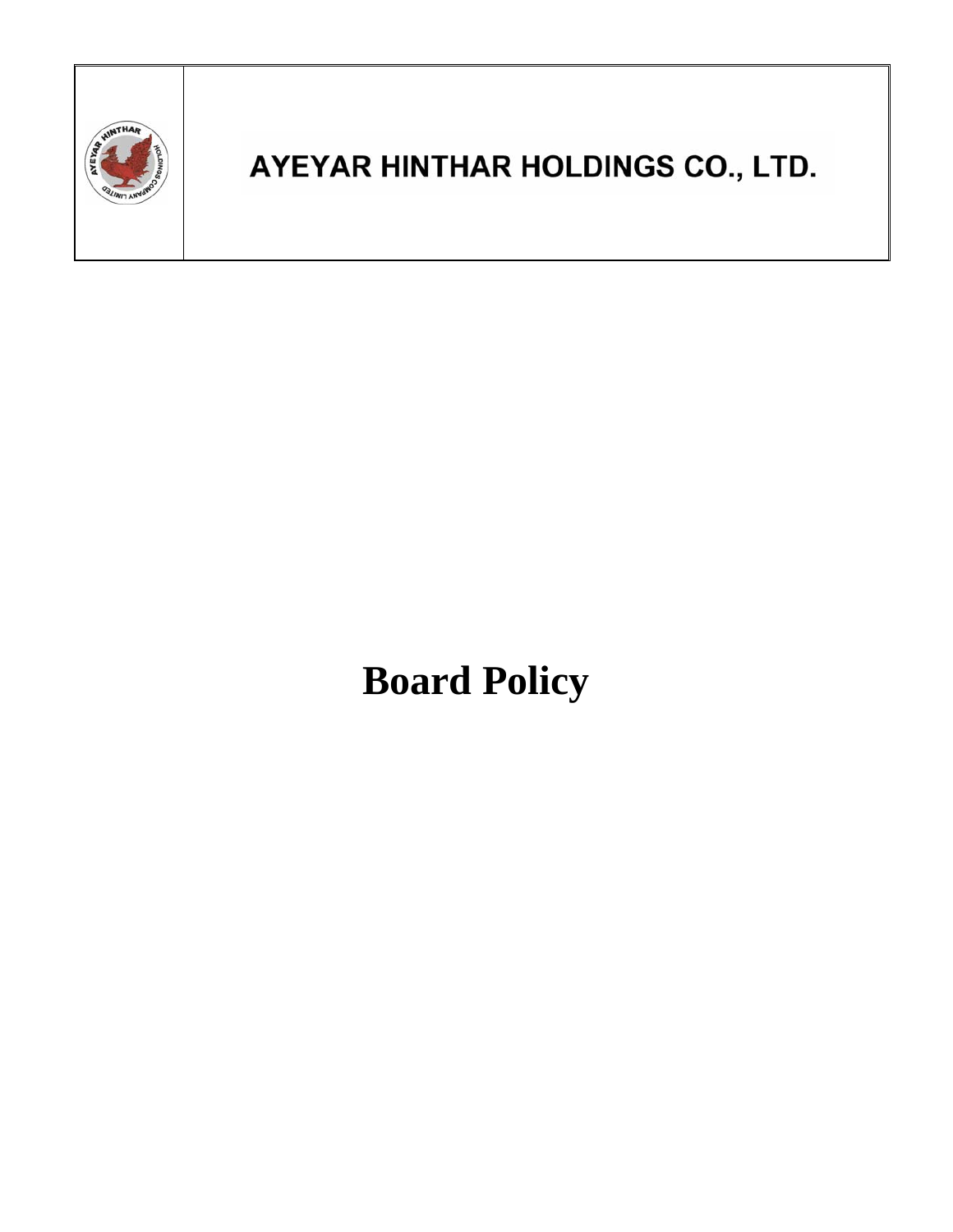

## AYEYAR HINTHAR HOLDINGS CO., LTD.

# **Board Policy**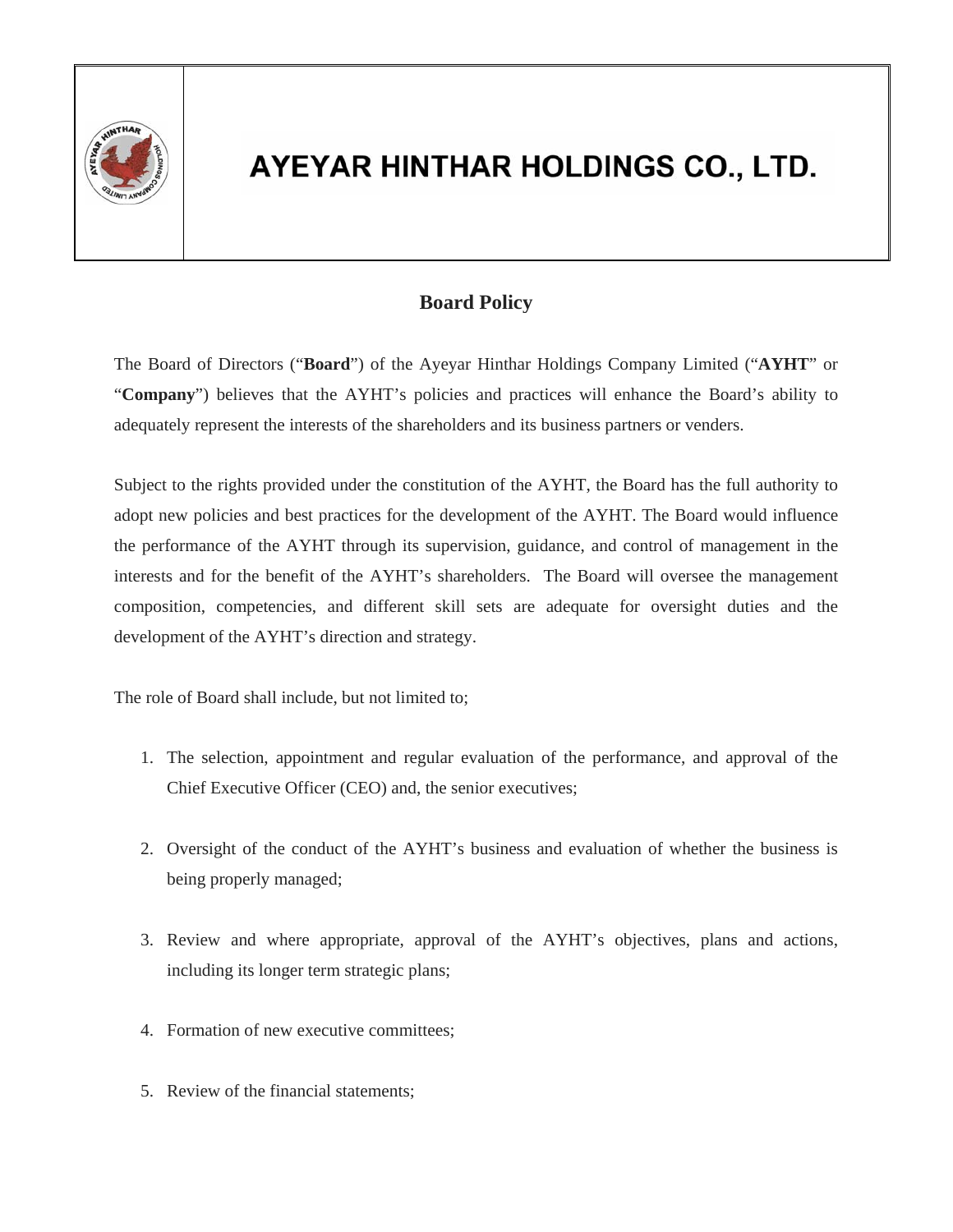

#### AYEYAR HINTHAR HOLDINGS CO., LTD.

#### **Board Policy**

The Board of Directors ("**Board**") of the Ayeyar Hinthar Holdings Company Limited ("**AYHT**" or "**Company**") believes that the AYHT's policies and practices will enhance the Board's ability to adequately represent the interests of the shareholders and its business partners or venders.

Subject to the rights provided under the constitution of the AYHT, the Board has the full authority to adopt new policies and best practices for the development of the AYHT. The Board would influence the performance of the AYHT through its supervision, guidance, and control of management in the interests and for the benefit of the AYHT's shareholders. The Board will oversee the management composition, competencies, and different skill sets are adequate for oversight duties and the development of the AYHT's direction and strategy.

The role of Board shall include, but not limited to;

- 1. The selection, appointment and regular evaluation of the performance, and approval of the Chief Executive Officer (CEO) and, the senior executives;
- 2. Oversight of the conduct of the AYHT's business and evaluation of whether the business is being properly managed;
- 3. Review and where appropriate, approval of the AYHT's objectives, plans and actions, including its longer term strategic plans;
- 4. Formation of new executive committees;
- 5. Review of the financial statements;